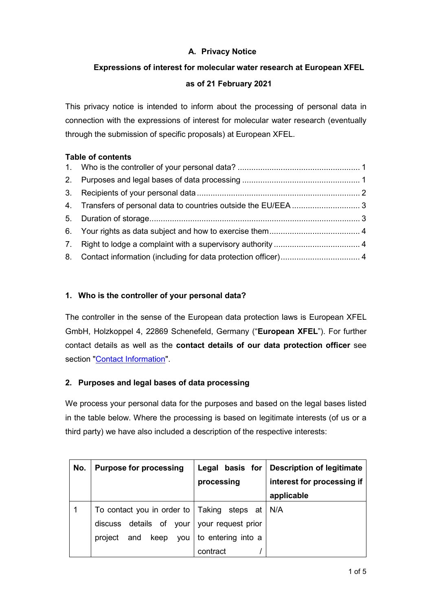# **A. Privacy Notice**

# **Expressions of interest for molecular water research at European XFEL**

## **as of 21 February 2021**

This privacy notice is intended to inform about the processing of personal data in connection with the expressions of interest for molecular water research (eventually through the submission of specific proposals) at European XFEL.

## **Table of contents**

# <span id="page-0-0"></span>**1. Who is the controller of your personal data?**

The controller in the sense of the European data protection laws is European XFEL GmbH, Holzkoppel 4, 22869 Schenefeld, Germany ("**European XFEL**"). For further contact details as well as the **contact details of our data protection officer** see section ["Contact Information"](#page-3-2).

# <span id="page-0-1"></span>**2. Purposes and legal bases of data processing**

We process your personal data for the purposes and based on the legal bases listed in the table below. Where the processing is based on legitimate interests (of us or a third party) we have also included a description of the respective interests:

| No. | <b>Purpose for processing</b>                          |                    | Legal basis for   Description of legitimate |
|-----|--------------------------------------------------------|--------------------|---------------------------------------------|
|     |                                                        | processing         | interest for processing if                  |
|     |                                                        |                    | applicable                                  |
|     | To contact you in order to $ $ Taking steps at $  N/A$ |                    |                                             |
|     | discuss details of your                                | your request prior |                                             |
|     | keep<br>and<br>project<br>you                          | to entering into a |                                             |
|     |                                                        | contract           |                                             |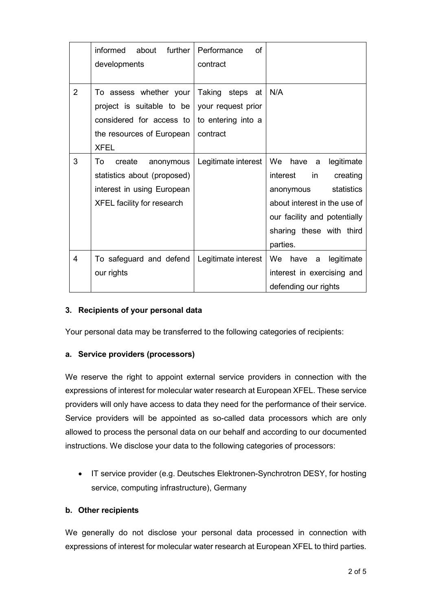|                | informed about further<br>developments                                                                                      | Performance<br>of<br>contract                                               |                                                                                                                                                                             |
|----------------|-----------------------------------------------------------------------------------------------------------------------------|-----------------------------------------------------------------------------|-----------------------------------------------------------------------------------------------------------------------------------------------------------------------------|
| $\overline{2}$ | To assess whether your<br>project is suitable to be<br>considered for access to<br>the resources of European<br><b>XFEL</b> | Taking steps at N/A<br>your request prior<br>to entering into a<br>contract |                                                                                                                                                                             |
| 3              | To<br>create<br>anonymous<br>statistics about (proposed)<br>interest in using European<br><b>XFEL facility for research</b> | Legitimate interest $\vert$ We have a                                       | legitimate<br>interest<br>in<br>creating<br>statistics<br>anonymous<br>about interest in the use of<br>our facility and potentially<br>sharing these with third<br>parties. |
| 4              | To safeguard and defend<br>our rights                                                                                       | Legitimate interest                                                         | We have a legitimate<br>interest in exercising and<br>defending our rights                                                                                                  |

## <span id="page-1-0"></span>**3. Recipients of your personal data**

Your personal data may be transferred to the following categories of recipients:

#### **a. Service providers (processors)**

We reserve the right to appoint external service providers in connection with the expressions of interest for molecular water research at European XFEL. These service providers will only have access to data they need for the performance of their service. Service providers will be appointed as so-called data processors which are only allowed to process the personal data on our behalf and according to our documented instructions. We disclose your data to the following categories of processors:

• IT service provider (e.g. Deutsches Elektronen-Synchrotron DESY, for hosting service, computing infrastructure), Germany

#### **b. Other recipients**

We generally do not disclose your personal data processed in connection with expressions of interest for molecular water research at European XFEL to third parties.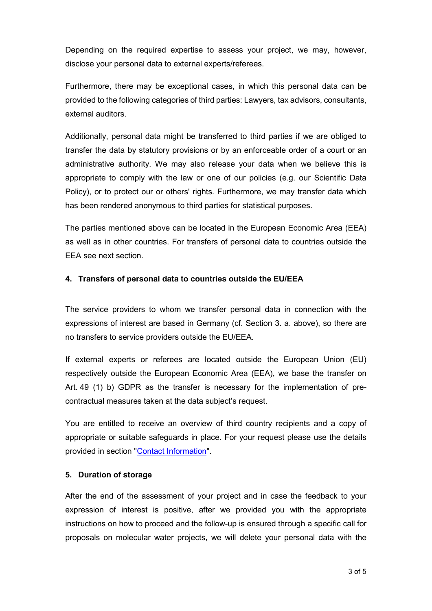Depending on the required expertise to assess your project, we may, however, disclose your personal data to external experts/referees.

Furthermore, there may be exceptional cases, in which this personal data can be provided to the following categories of third parties: Lawyers, tax advisors, consultants, external auditors.

Additionally, personal data might be transferred to third parties if we are obliged to transfer the data by statutory provisions or by an enforceable order of a court or an administrative authority. We may also release your data when we believe this is appropriate to comply with the law or one of our policies (e.g. our Scientific Data Policy), or to protect our or others' rights. Furthermore, we may transfer data which has been rendered anonymous to third parties for statistical purposes.

The parties mentioned above can be located in the European Economic Area (EEA) as well as in other countries. For transfers of personal data to countries outside the EEA see next section.

#### <span id="page-2-0"></span>**4. Transfers of personal data to countries outside the EU/EEA**

The service providers to whom we transfer personal data in connection with the expressions of interest are based in Germany (cf. Section 3. a. above), so there are no transfers to service providers outside the EU/EEA.

If external experts or referees are located outside the European Union (EU) respectively outside the European Economic Area (EEA), we base the transfer on Art. 49 (1) b) GDPR as the transfer is necessary for the implementation of precontractual measures taken at the data subject's request.

You are entitled to receive an overview of third country recipients and a copy of appropriate or suitable safeguards in place. For your request please use the details provided in section ["Contact Information"](#page-3-2).

#### <span id="page-2-1"></span>**5. Duration of storage**

After the end of the assessment of your project and in case the feedback to your expression of interest is positive, after we provided you with the appropriate instructions on how to proceed and the follow-up is ensured through a specific call for proposals on molecular water projects, we will delete your personal data with the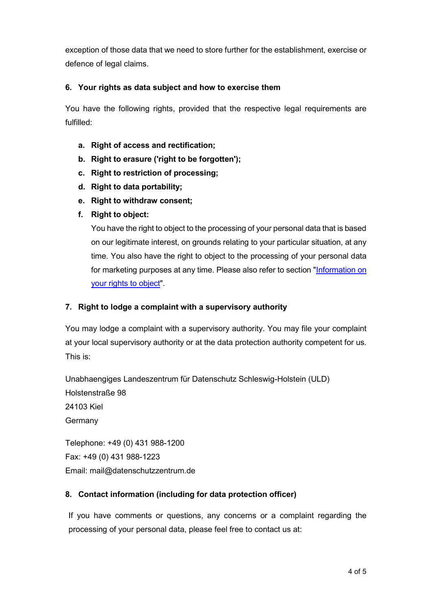exception of those data that we need to store further for the establishment, exercise or defence of legal claims.

## <span id="page-3-0"></span>**6. Your rights as data subject and how to exercise them**

You have the following rights, provided that the respective legal requirements are fulfilled:

- **a. Right of access and rectification;**
- **b. Right to erasure ('right to be forgotten');**
- **c. Right to restriction of processing;**
- **d. Right to data portability;**
- **e. Right to withdraw consent;**
- **f. Right to object:**

You have the right to object to the processing of your personal data that is based on our legitimate interest, on grounds relating to your particular situation, at any time. You also have the right to object to the processing of your personal data for marketing purposes at any time. Please also refer to section ["Information on](#page-4-0)  [your rights to object"](#page-4-0).

## <span id="page-3-1"></span>**7. Right to lodge a complaint with a supervisory authority**

You may lodge a complaint with a supervisory authority. You may file your complaint at your local supervisory authority or at the data protection authority competent for us. This is:

Unabhaengiges Landeszentrum für Datenschutz Schleswig-Holstein (ULD) Holstenstraße 98 24103 Kiel **Germany** 

Telephone: +49 (0) 431 988-1200 Fax: +49 (0) 431 988-1223 Email: mail@datenschutzzentrum.de

## <span id="page-3-2"></span>**8. Contact information (including for data protection officer)**

If you have comments or questions, any concerns or a complaint regarding the processing of your personal data, please feel free to contact us at: